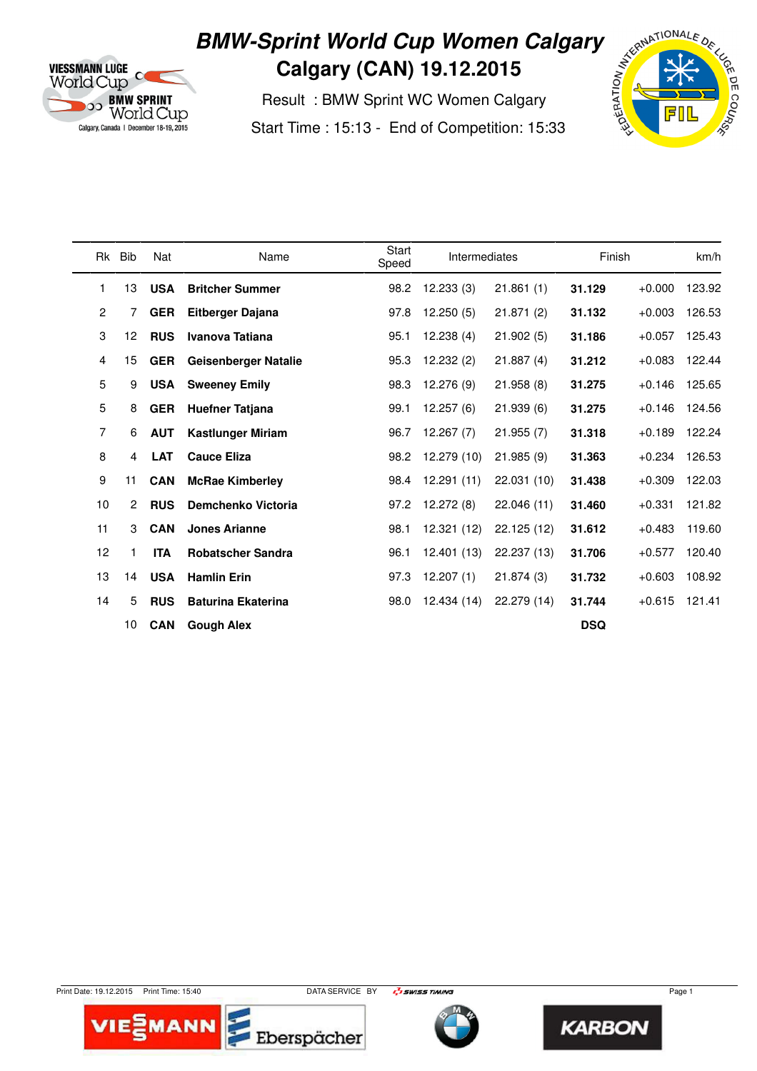

## **BMW-Sprint World Cup Women Calgary Calgary (CAN) 19.12.2015**

 Result : BMW Sprint WC Women Calgary Start Time : 15:13 - End of Competition: 15:33



| <b>Rk</b>      | <b>Bib</b>     | Nat        | Name                        | Start<br>Speed | Intermediates |             | Finish     |          | km/h   |  |
|----------------|----------------|------------|-----------------------------|----------------|---------------|-------------|------------|----------|--------|--|
| 1              | 13             | <b>USA</b> | <b>Britcher Summer</b>      | 98.2           | 12.233(3)     | 21.861(1)   | 31.129     | $+0.000$ | 123.92 |  |
| $\overline{2}$ | 7              | <b>GER</b> | <b>Eitberger Dajana</b>     | 97.8           | 12.250(5)     | 21.871(2)   | 31.132     | $+0.003$ | 126.53 |  |
| 3              | 12             | <b>RUS</b> | Ivanova Tatiana             | 95.1           | 12.238(4)     | 21.902(5)   | 31.186     | $+0.057$ | 125.43 |  |
| 4              | 15             | <b>GER</b> | <b>Geisenberger Natalie</b> | 95.3           | 12.232(2)     | 21.887(4)   | 31.212     | $+0.083$ | 122.44 |  |
| 5              | 9              | <b>USA</b> | <b>Sweeney Emily</b>        | 98.3           | 12.276 (9)    | 21.958(8)   | 31.275     | $+0.146$ | 125.65 |  |
| 5              | 8              | <b>GER</b> | <b>Huefner Tatjana</b>      | 99.1           | 12.257(6)     | 21.939(6)   | 31.275     | $+0.146$ | 124.56 |  |
| 7              | 6              | <b>AUT</b> | <b>Kastlunger Miriam</b>    | 96.7           | 12.267(7)     | 21.955(7)   | 31.318     | $+0.189$ | 122.24 |  |
| 8              | 4              | <b>LAT</b> | <b>Cauce Eliza</b>          | 98.2           | 12.279 (10)   | 21.985(9)   | 31.363     | $+0.234$ | 126.53 |  |
| 9              | 11             | <b>CAN</b> | <b>McRae Kimberley</b>      | 98.4           | 12.291(11)    | 22.031 (10) | 31.438     | $+0.309$ | 122.03 |  |
| 10             | $\overline{2}$ | <b>RUS</b> | Demchenko Victoria          | 97.2           | 12.272(8)     | 22.046 (11) | 31.460     | $+0.331$ | 121.82 |  |
| 11             | 3              | <b>CAN</b> | <b>Jones Arianne</b>        | 98.1           | 12.321 (12)   | 22.125 (12) | 31.612     | $+0.483$ | 119.60 |  |
| 12             |                | <b>ITA</b> | <b>Robatscher Sandra</b>    | 96.1           | 12.401 (13)   | 22.237 (13) | 31.706     | $+0.577$ | 120.40 |  |
| 13             | 14             | <b>USA</b> | <b>Hamlin Erin</b>          | 97.3           | 12.207(1)     | 21.874(3)   | 31.732     | $+0.603$ | 108.92 |  |
| 14             | 5              | <b>RUS</b> | <b>Baturina Ekaterina</b>   | 98.0           | 12.434 (14)   | 22.279 (14) | 31.744     | $+0.615$ | 121.41 |  |
|                | 10             | <b>CAN</b> | <b>Gough Alex</b>           |                |               |             | <b>DSQ</b> |          |        |  |

Print Date: 19.12.2015 Print Time: 15:40 DATA SERVICE BY **Page 1 Page 1 Page 1 Page 1** 





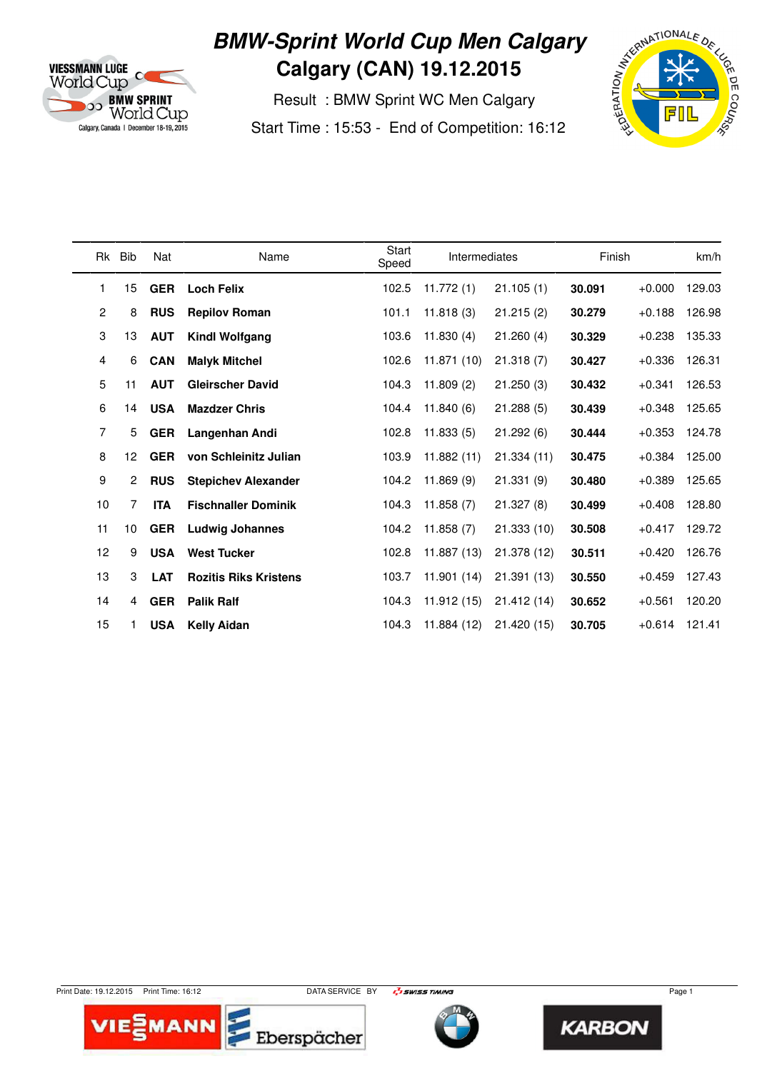

### **BMW-Sprint World Cup Men Calgary Calgary (CAN) 19.12.2015**

 Result : BMW Sprint WC Men Calgary Start Time : 15:53 - End of Competition: 16:12



| Rk             | Bib            | Nat        | Name                         | Start<br>Speed | <b>Intermediates</b> |             | Finish |          | km/h   |  |
|----------------|----------------|------------|------------------------------|----------------|----------------------|-------------|--------|----------|--------|--|
| 1              | 15             | <b>GER</b> | <b>Loch Felix</b>            | 102.5          | 11.772(1)            | 21.105(1)   | 30.091 | $+0.000$ | 129.03 |  |
| $\overline{2}$ | 8              | <b>RUS</b> | <b>Repilov Roman</b>         | 101.1          | 11.818(3)            | 21.215(2)   | 30.279 | $+0.188$ | 126.98 |  |
| 3              | 13             | <b>AUT</b> | <b>Kindl Wolfgang</b>        | 103.6          | 11.830(4)            | 21.260(4)   | 30.329 | $+0.238$ | 135.33 |  |
| 4              | 6              | <b>CAN</b> | <b>Malyk Mitchel</b>         | 102.6          | 11.871 (10)          | 21.318(7)   | 30.427 | $+0.336$ | 126.31 |  |
| 5              | 11             | <b>AUT</b> | <b>Gleirscher David</b>      | 104.3          | 11.809(2)            | 21.250(3)   | 30.432 | $+0.341$ | 126.53 |  |
| 6              | 14             | <b>USA</b> | <b>Mazdzer Chris</b>         | 104.4          | 11.840(6)            | 21.288(5)   | 30.439 | $+0.348$ | 125.65 |  |
| 7              | 5              | <b>GER</b> | Langenhan Andi               | 102.8          | 11.833(5)            | 21.292(6)   | 30.444 | $+0.353$ | 124.78 |  |
| 8              | 12             | <b>GER</b> | von Schleinitz Julian        | 103.9          | 11.882 (11)          | 21.334(11)  | 30.475 | $+0.384$ | 125.00 |  |
| 9              | $\overline{2}$ | <b>RUS</b> | <b>Stepichev Alexander</b>   | 104.2          | 11.869(9)            | 21.331(9)   | 30.480 | $+0.389$ | 125.65 |  |
| 10             | 7              | <b>ITA</b> | <b>Fischnaller Dominik</b>   | 104.3          | 11.858(7)            | 21.327(8)   | 30.499 | $+0.408$ | 128.80 |  |
| 11             | 10             | <b>GER</b> | <b>Ludwig Johannes</b>       | 104.2          | 11.858(7)            | 21.333 (10) | 30.508 | $+0.417$ | 129.72 |  |
| 12             | 9              | <b>USA</b> | <b>West Tucker</b>           | 102.8          | 11.887 (13)          | 21.378 (12) | 30.511 | $+0.420$ | 126.76 |  |
| 13             | 3              | <b>LAT</b> | <b>Rozitis Riks Kristens</b> | 103.7          | 11.901(14)           | 21.391 (13) | 30.550 | $+0.459$ | 127.43 |  |
| 14             | 4              | <b>GER</b> | <b>Palik Ralf</b>            | 104.3          | 11.912 (15)          | 21.412 (14) | 30.652 | $+0.561$ | 120.20 |  |
| 15             |                | <b>USA</b> | <b>Kelly Aidan</b>           | 104.3          | 11.884 (12)          | 21.420 (15) | 30.705 | $+0.614$ | 121.41 |  |

Print Date: 19.12.2015 Print Time: 16:12 DATA SERVICE BY **Page 1 Page 1 Page 1 Page 1** 





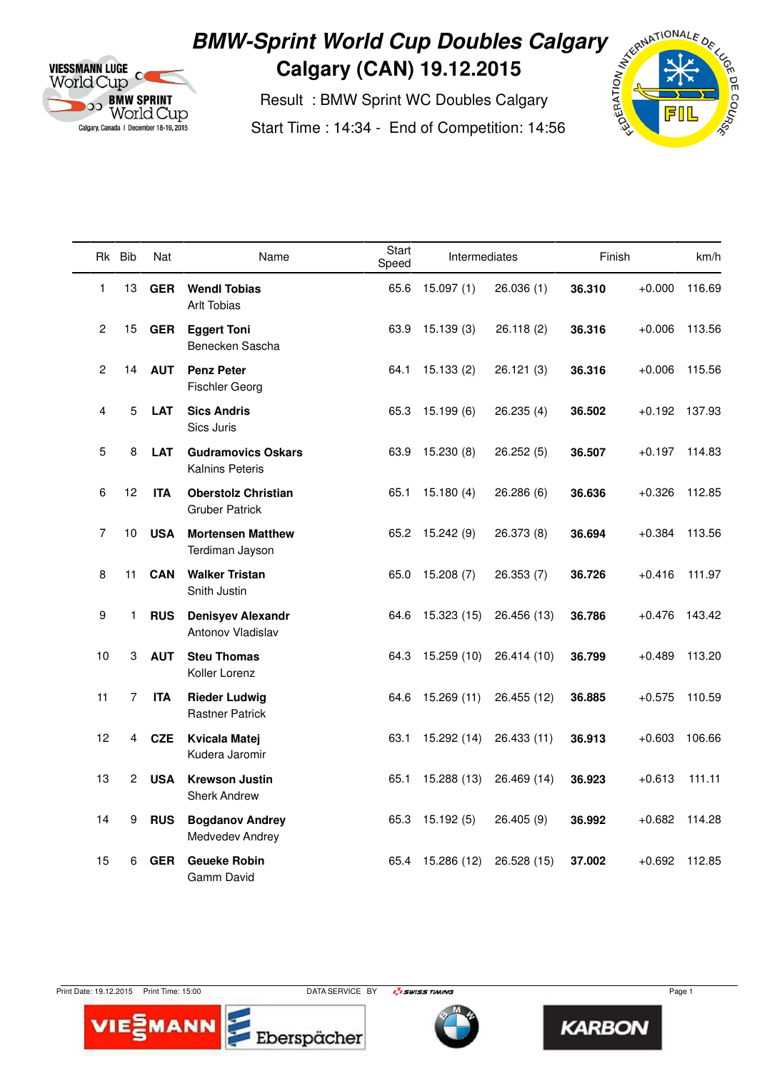

# **BMW-Sprint World Cup Doubles Calgary**<br>Calgary (CAN) 19.12.2015<br>Result : BMW Sprint WC Doubles Calgary<br>Start Time : 14:34 - End of Competition: 14:56 **Calgary (CAN) 19.12.2015**

 Result : BMW Sprint WC Doubles Calgary Start Time : 14:34 - End of Competition: 14:56



|                 | Rk Bib       | Nat        | Name                                                | Start<br>Speed | Intermediates |             |        | Finish   |        |
|-----------------|--------------|------------|-----------------------------------------------------|----------------|---------------|-------------|--------|----------|--------|
| 1               | 13           | <b>GER</b> | <b>Wendl Tobias</b><br><b>Arlt Tobias</b>           | 65.6           | 15.097(1)     | 26.036(1)   | 36.310 | $+0.000$ | 116.69 |
| $\mathbf{2}$    | 15           | <b>GER</b> | <b>Eggert Toni</b><br>Benecken Sascha               | 63.9           | 15.139(3)     | 26.118(2)   | 36.316 | $+0.006$ | 113.56 |
| $\mathbf{2}$    | 14           | <b>AUT</b> | <b>Penz Peter</b><br><b>Fischler Georg</b>          | 64.1           | 15.133(2)     | 26.121 (3)  | 36.316 | $+0.006$ | 115.56 |
| 4               | 5            | <b>LAT</b> | <b>Sics Andris</b><br>Sics Juris                    | 65.3           | 15.199(6)     | 26.235(4)   | 36.502 | $+0.192$ | 137.93 |
| 5               | 8            | <b>LAT</b> | <b>Gudramovics Oskars</b><br><b>Kalnins Peteris</b> | 63.9           | 15.230(8)     | 26.252(5)   | 36.507 | $+0.197$ | 114.83 |
| 6               | 12           | <b>ITA</b> | <b>Oberstolz Christian</b><br><b>Gruber Patrick</b> | 65.1           | 15.180(4)     | 26.286 (6)  | 36.636 | $+0.326$ | 112.85 |
| 7               | 10           | <b>USA</b> | <b>Mortensen Matthew</b><br>Terdiman Jayson         | 65.2           | 15.242 (9)    | 26.373 (8)  | 36.694 | $+0.384$ | 113.56 |
| 8               | 11           | <b>CAN</b> | <b>Walker Tristan</b><br>Snith Justin               | 65.0           | 15.208(7)     | 26.353(7)   | 36.726 | $+0.416$ | 111.97 |
| 9               | 1.           | <b>RUS</b> | <b>Denisyev Alexandr</b><br>Antonov Vladislav       | 64.6           | 15.323(15)    | 26.456 (13) | 36.786 | $+0.476$ | 143.42 |
| 10              | 3            | <b>AUT</b> | <b>Steu Thomas</b><br>Koller Lorenz                 | 64.3           | 15.259 (10)   | 26.414 (10) | 36.799 | $+0.489$ | 113.20 |
| 11              | 7            | <b>ITA</b> | <b>Rieder Ludwig</b><br><b>Rastner Patrick</b>      | 64.6           | 15.269 (11)   | 26.455 (12) | 36.885 | $+0.575$ | 110.59 |
| 12 <sup>2</sup> | 4            | <b>CZE</b> | <b>Kvicala Matej</b><br>Kudera Jaromir              | 63.1           | 15.292 (14)   | 26.433 (11) | 36.913 | $+0.603$ | 106.66 |
| 13              | $\mathbf{2}$ | <b>USA</b> | <b>Krewson Justin</b><br><b>Sherk Andrew</b>        | 65.1           | 15.288 (13)   | 26.469 (14) | 36.923 | $+0.613$ | 111.11 |
| 14              | 9            | <b>RUS</b> | <b>Bogdanov Andrey</b><br>Medvedev Andrey           | 65.3           | 15.192(5)     | 26.405 (9)  | 36.992 | $+0.682$ | 114.28 |
| 15              | 6            | <b>GER</b> | <b>Geueke Robin</b><br>Gamm David                   | 65.4           | 15.286 (12)   | 26.528 (15) | 37.002 | $+0.692$ | 112.85 |

TE





**KARBON** 



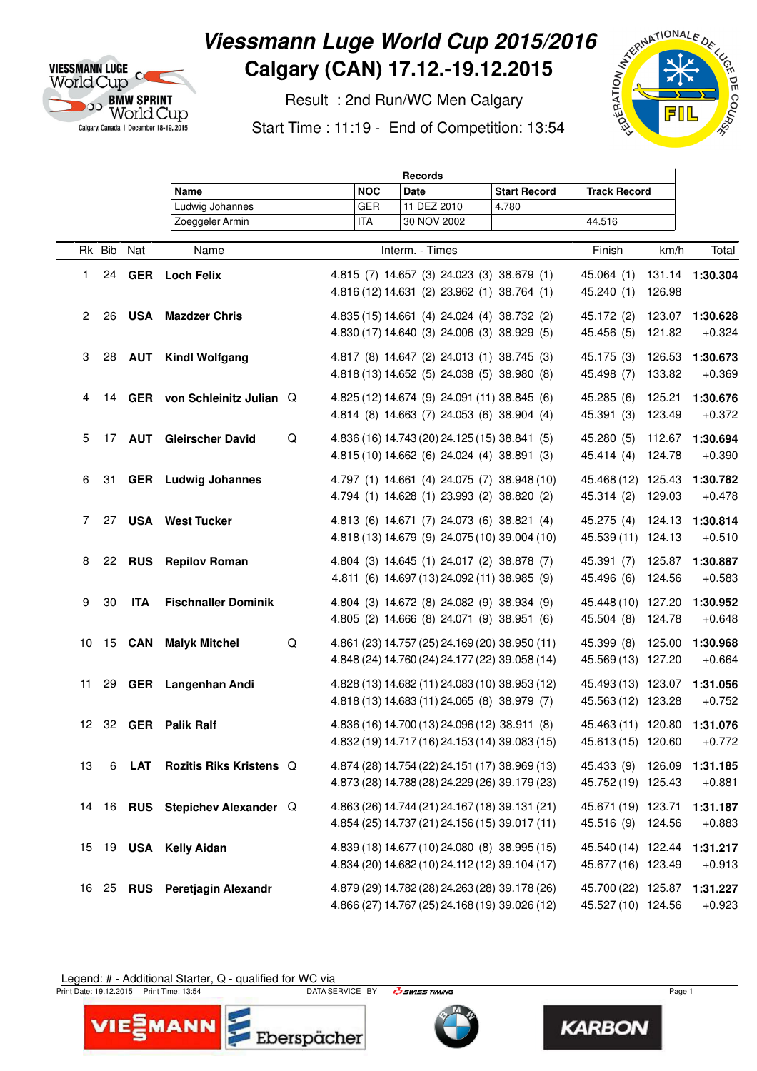

### **Viessmann Luge World Cup 2015/2016 Calgary (CAN) 17.12.-19.12.2015**

 Result : 2nd Run/WC Men Calgary Start Time : 11:19 - End of Competition: 13:54



|                 |        |               | <b>Records</b>                  |   |            |                                                                                                  |                     |                                                          |                  |                      |
|-----------------|--------|---------------|---------------------------------|---|------------|--------------------------------------------------------------------------------------------------|---------------------|----------------------------------------------------------|------------------|----------------------|
|                 |        |               | Name                            |   | <b>NOC</b> | <b>Date</b>                                                                                      | <b>Start Record</b> | <b>Track Record</b>                                      |                  |                      |
|                 |        |               | Ludwig Johannes                 |   | <b>GER</b> | 11 DEZ 2010                                                                                      | 4.780               |                                                          |                  |                      |
|                 |        |               | Zoeggeler Armin                 |   | <b>ITA</b> | 30 NOV 2002                                                                                      |                     | 44.516                                                   |                  |                      |
|                 | Rk Bib | Nat           | Name                            |   |            | Interm. - Times                                                                                  |                     | Finish                                                   | km/h             | Total                |
| 1               | 24     |               | <b>GER</b> Loch Felix           |   |            | 4.815 (7) 14.657 (3) 24.023 (3) 38.679 (1)<br>4.816 (12) 14.631 (2) 23.962 (1) 38.764 (1)        |                     | 45.064 (1)<br>45.240 (1)                                 | 126.98           | 131.14 1:30.304      |
| $\overline{2}$  | 26     |               | <b>USA</b> Mazdzer Chris        |   |            | 4.835 (15) 14.661 (4) 24.024 (4) 38.732 (2)<br>4.830 (17) 14.640 (3) 24.006 (3) 38.929 (5)       |                     | 45.172 (2)<br>45.456 (5)                                 | 123.07<br>121.82 | 1:30.628<br>$+0.324$ |
| 3               |        | 28 <b>AUT</b> | <b>Kindl Wolfgang</b>           |   |            | 4.817 (8) 14.647 (2) 24.013 (1) 38.745 (3)<br>4.818 (13) 14.652 (5) 24.038 (5) 38.980 (8)        |                     | 45.175 (3)<br>45.498 (7)                                 | 126.53<br>133.82 | 1:30.673<br>$+0.369$ |
| 4               |        |               | 14 GER von Schleinitz Julian Q  |   |            | 4.825 (12) 14.674 (9) 24.091 (11) 38.845 (6)<br>4.814 (8) 14.663 (7) 24.053 (6) 38.904 (4)       |                     | 45.285 (6)<br>45.391 (3)                                 | 125.21<br>123.49 | 1:30.676<br>$+0.372$ |
| 5               |        |               | 17 AUT Gleirscher David         | Q |            | 4.836 (16) 14.743 (20) 24.125 (15) 38.841 (5)<br>4.815 (10) 14.662 (6) 24.024 (4) 38.891 (3)     |                     | 45.280 (5)<br>45.414 (4)                                 | 112.67<br>124.78 | 1:30.694<br>$+0.390$ |
| 6               |        |               | 31 GER Ludwig Johannes          |   |            | 4.797 (1) 14.661 (4) 24.075 (7) 38.948 (10)<br>4.794 (1) 14.628 (1) 23.993 (2) 38.820 (2)        |                     | 45.468 (12) 125.43<br>45.314 (2)                         | 129.03           | 1:30.782<br>$+0.478$ |
| 7               | 27     |               | <b>USA</b> West Tucker          |   |            | 4.813 (6) 14.671 (7) 24.073 (6) 38.821 (4)<br>4.818 (13) 14.679 (9) 24.075 (10) 39.004 (10)      |                     | 45.275 (4) 124.13<br>45.539 (11) 124.13                  |                  | 1:30.814<br>$+0.510$ |
| 8               |        | 22 <b>RUS</b> | <b>Repilov Roman</b>            |   |            | 4.804 (3) 14.645 (1) 24.017 (2) 38.878 (7)<br>4.811 (6) 14.697 (13) 24.092 (11) 38.985 (9)       |                     | 45.391 (7)<br>45.496 (6)                                 | 125.87<br>124.56 | 1:30.887<br>$+0.583$ |
| 9               | 30     | <b>ITA</b>    | <b>Fischnaller Dominik</b>      |   |            | 4.804 (3) 14.672 (8) 24.082 (9) 38.934 (9)<br>4.805 (2) 14.666 (8) 24.071 (9) 38.951 (6)         |                     | 45.448 (10) 127.20<br>45.504 (8) 124.78                  |                  | 1:30.952<br>$+0.648$ |
| 10              |        | 15 <b>CAN</b> | <b>Malyk Mitchel</b>            | Q |            | 4.861 (23) 14.757 (25) 24.169 (20) 38.950 (11)<br>4.848 (24) 14.760 (24) 24.177 (22) 39.058 (14) |                     | 45.399 (8)<br>45.569 (13) 127.20                         | 125.00           | 1:30.968<br>$+0.664$ |
| 11              |        |               | 29 GER Langenhan Andi           |   |            | 4.828 (13) 14.682 (11) 24.083 (10) 38.953 (12)<br>4.818 (13) 14.683 (11) 24.065 (8) 38.979 (7)   |                     | 45.493 (13) 123.07<br>45.563 (12) 123.28                 |                  | 1:31.056<br>$+0.752$ |
| 12 <sup>2</sup> |        |               | 32 GER Palik Ralf               |   |            | 4.836 (16) 14.700 (13) 24.096 (12) 38.911 (8)<br>4.832 (19) 14.717 (16) 24.153 (14) 39.083 (15)  |                     | 45.463 (11) 120.80 1:31.076<br>45.613 (15) 120.60 +0.772 |                  |                      |
| 13              | 6      | LAT           | <b>Rozitis Riks Kristens Q</b>  |   |            | 4.874 (28) 14.754 (22) 24.151 (17) 38.969 (13)<br>4.873 (28) 14.788 (28) 24.229 (26) 39.179 (23) |                     | 45.433 (9) 126.09<br>45.752 (19) 125.43                  |                  | 1:31.185<br>$+0.881$ |
|                 |        |               | 14 16 RUS Stepichev Alexander Q |   |            | 4.863 (26) 14.744 (21) 24.167 (18) 39.131 (21)<br>4.854 (25) 14.737 (21) 24.156 (15) 39.017 (11) |                     | 45.671 (19) 123.71<br>45.516 (9) 124.56                  |                  | 1:31.187<br>$+0.883$ |
| 15              |        |               | 19 USA Kelly Aidan              |   |            | 4.839 (18) 14.677 (10) 24.080 (8) 38.995 (15)<br>4.834 (20) 14.682 (10) 24.112 (12) 39.104 (17)  |                     | 45.540 (14) 122.44<br>45.677 (16) 123.49                 |                  | 1:31.217<br>$+0.913$ |
| 16              |        |               | 25 RUS Peretjagin Alexandr      |   |            | 4.879 (29) 14.782 (28) 24.263 (28) 39.178 (26)<br>4.866 (27) 14.767 (25) 24.168 (19) 39.026 (12) |                     | 45.700 (22) 125.87<br>45.527 (10) 124.56                 |                  | 1:31.227<br>$+0.923$ |

Legend: # - Additional Starter, Q - qualified for WC via

VIE EMANI

rint D

Eberspächer

Print Date: 19.12.2015 Print Time: 13:54 **DATA SERVICE BY Page 1 Print Date: 19.12.2015** Print Time: 13:54 Page 1